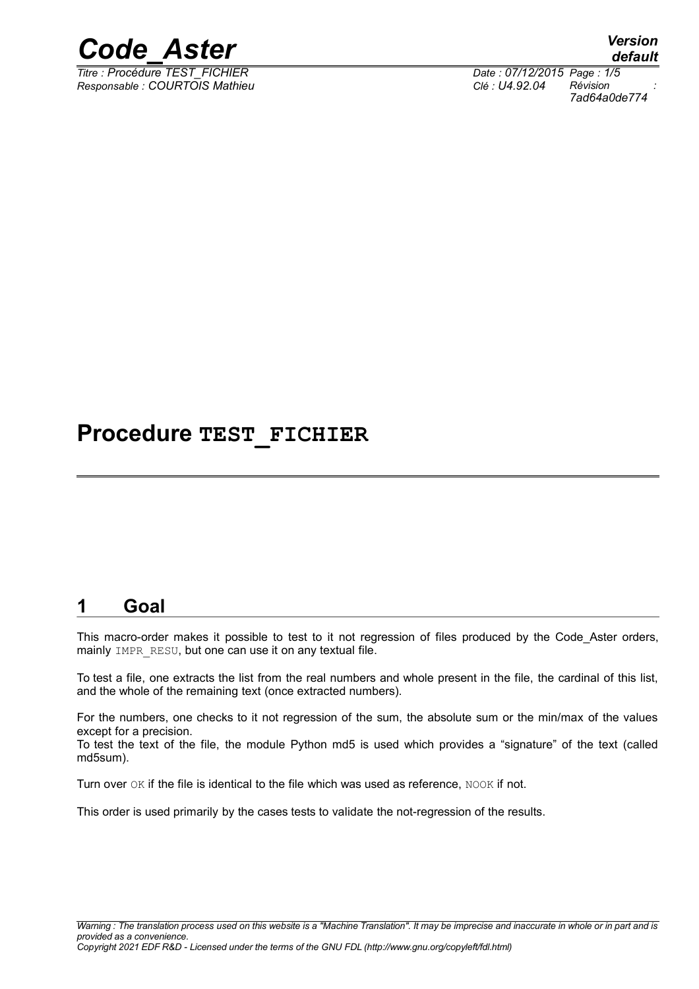

*Responsable : COURTOIS Mathieu Clé : U4.92.04 Révision :*

*default Titre : Procédure TEST\_FICHIER Date : 07/12/2015 Page : 1/5 7ad64a0de774*

## **Procedure TEST\_FICHIER**

#### **1 Goal**

This macro-order makes it possible to test to it not regression of files produced by the Code\_Aster orders, mainly IMPR RESU, but one can use it on any textual file.

To test a file, one extracts the list from the real numbers and whole present in the file, the cardinal of this list, and the whole of the remaining text (once extracted numbers).

For the numbers, one checks to it not regression of the sum, the absolute sum or the min/max of the values except for a precision.

To test the text of the file, the module Python md5 is used which provides a "signature" of the text (called md5sum).

Turn over  $OK$  if the file is identical to the file which was used as reference,  $NOOK$  if not.

This order is used primarily by the cases tests to validate the not-regression of the results.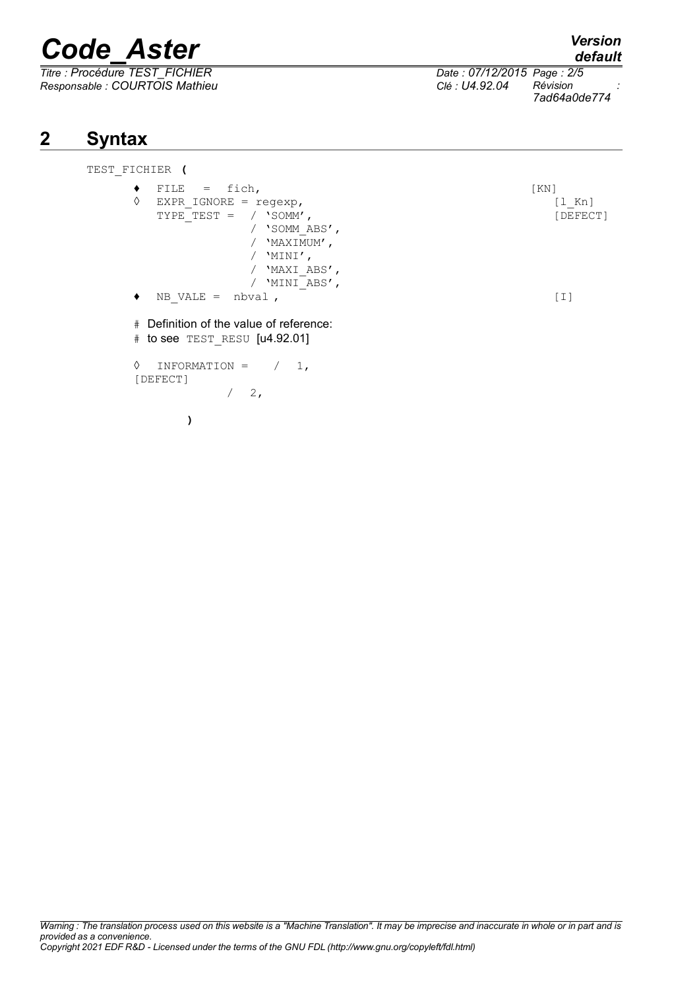*Titre : Procédure TEST\_FICHIER Date : 07/12/2015 Page : 2/5 Responsable : COURTOIS Mathieu Clé : U4.92.04 Révision :*

*7ad64a0de774*

### **2 Syntax**

```
TEST_FICHIER (
      ♦ FILE = fich, [KN] EXPR IGNORE = reqexp, [1 Kn]EXPR IGNORE = regexp,
         TYPE<sup>T</sup>TEST = / 'SOMM',
                     / 'SOMM_ABS',
                     / "MAXIMUM',
                      / 'MINI',
                      / 'MAXI_ABS',
                     / 'MINI_ABS',
      \bullet \quad \text{NB} \ \text{VALE} = \ \text{nbval} \ , \tag{I}# Definition of the value of reference:
      # to see TEST_RESU [u4.92.01]
      \Diamond INFORMATION = / 1,
      [DEFECT]
                  / 2,)
```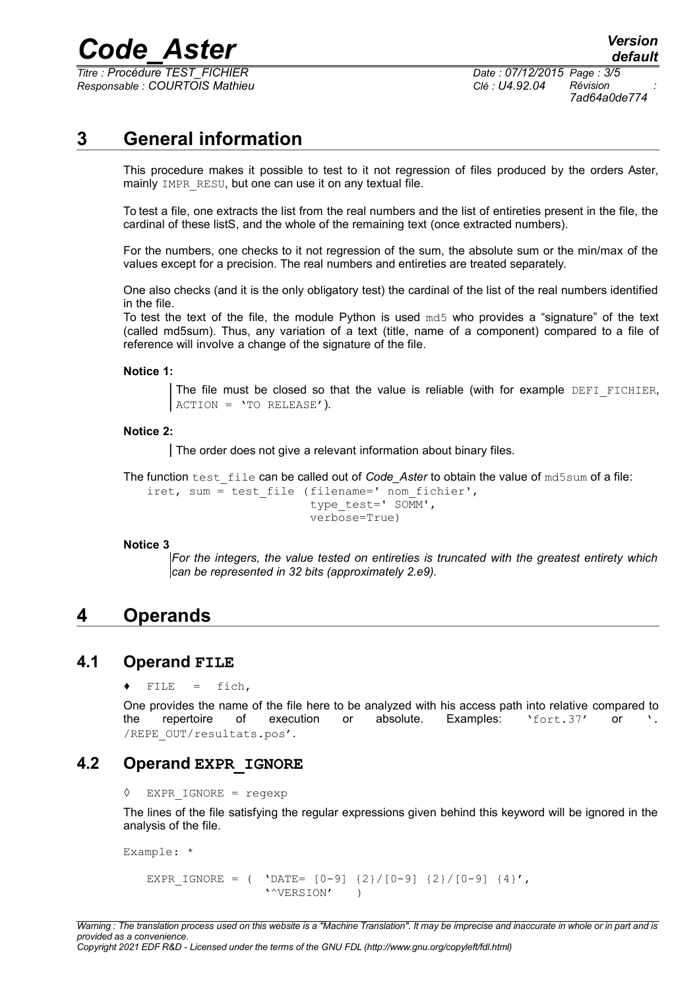*Titre : Procédure TEST\_FICHIER Date : 07/12/2015 Page : 3/5 Responsable : COURTOIS Mathieu Clé : U4.92.04 Révision :*

*7ad64a0de774*

## **3 General information**

This procedure makes it possible to test to it not regression of files produced by the orders Aster, mainly IMPR RESU, but one can use it on any textual file.

To test a file, one extracts the list from the real numbers and the list of entireties present in the file, the cardinal of these listS, and the whole of the remaining text (once extracted numbers).

For the numbers, one checks to it not regression of the sum, the absolute sum or the min/max of the values except for a precision. The real numbers and entireties are treated separately.

One also checks (and it is the only obligatory test) the cardinal of the list of the real numbers identified in the file.

To test the text of the file, the module Python is used md5 who provides a "signature" of the text (called md5sum). Thus, any variation of a text (title, name of a component) compared to a file of reference will involve a change of the signature of the file.

**Notice 1:**

The file must be closed so that the value is reliable (with for example DEFI\_FICHIER,  $\vert$  ACTION =  $'$ TO RELEASE').

#### **Notice 2:**

The order does not give a relevant information about binary files.

The function test file can be called out of *Code Aster* to obtain the value of md5sum of a file:

```
iret, sum = test_file (filename=' nom_fichier',
                        type test=' SOMM',
                        verbose=True)
```
#### **Notice 3**

*For the integers, the value tested on entireties is truncated with the greatest entirety which can be represented in 32 bits (approximately 2.e9).*

### **4 Operands**

#### **4.1 Operand FILE**

 $\texttt{FILE}$  = fich,

One provides the name of the file here to be analyzed with his access path into relative compared to the repertoire of execution or absolute. Examples: 'fort.37' or '. /REPE\_OUT/resultats.pos'.

#### **4.2 Operand EXPR\_IGNORE**

```
◊ EXPR_IGNORE = regexp
```
The lines of the file satisfying the regular expressions given behind this keyword will be ignored in the analysis of the file.

```
Example: *
```
EXPR IGNORE = ( 'DATE=  $[0-9]$   $\{2\}/[0-9]$   $\{2\}/[0-9]$   $\{4\}'$ , '^VERSION' )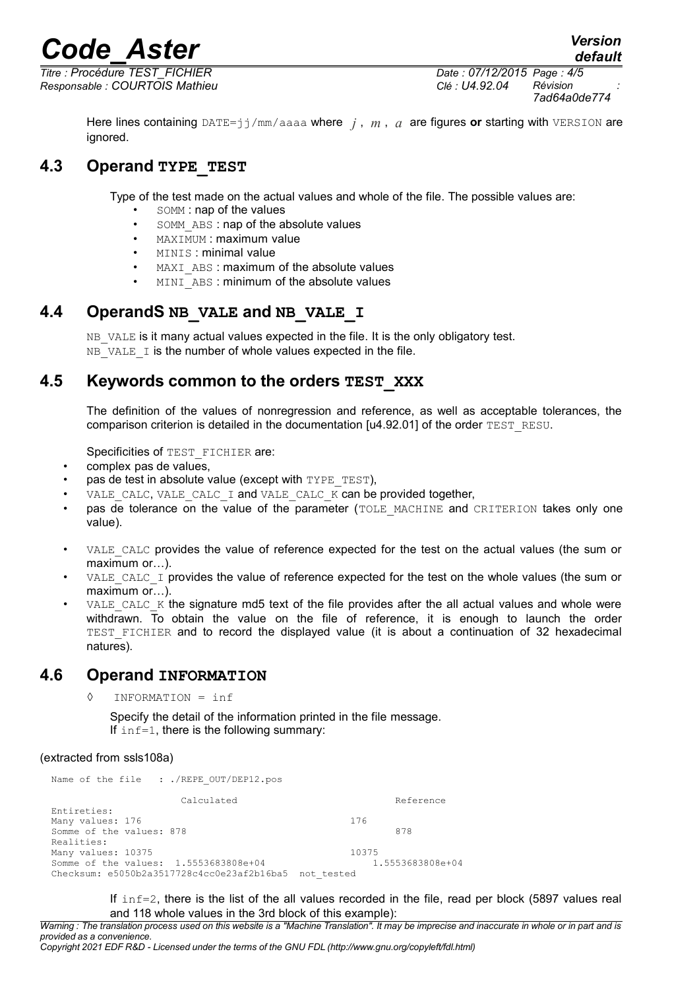*Titre : Procédure TEST\_FICHIER Date : 07/12/2015 Page : 4/5 Responsable : COURTOIS Mathieu Clé : U4.92.04 Révision :*

*7ad64a0de774*

*default*

Here lines containing DATE=jj/mm/aaaa where *j* , *m* , *a* are figures **or** starting with VERSION are ignored.

#### **4.3 Operand TYPE\_TEST**

Type of the test made on the actual values and whole of the file. The possible values are:

- somm : nap of the values
- SOMM ABS : nap of the absolute values
- MAXIMUM : maximum value
- MINIS : minimal value
- MAXI\_ABS : maximum of the absolute values
- MINI\_ABS : minimum of the absolute values

#### **4.4 OperandS NB\_VALE and NB\_VALE\_I**

NB VALE is it many actual values expected in the file. It is the only obligatory test.  $NB$  VALE I is the number of whole values expected in the file.

#### **4.5 Keywords common to the orders TEST\_XXX**

The definition of the values of nonregression and reference, as well as acceptable tolerances, the comparison criterion is detailed in the documentation [u4.92.01] of the order TEST\_RESU.

Specificities of TEST\_FICHIER are:

- complex pas de values,
- pas de test in absolute value (except with TYPE\_TEST),
- VALE\_CALC, VALE\_CALC\_I and VALE\_CALC\_K can be provided together,
- pas de tolerance on the value of the parameter (TOLE\_MACHINE and CRITERION takes only one value).
- VALE CALC provides the value of reference expected for the test on the actual values (the sum or maximum or…).
- VALE CALC I provides the value of reference expected for the test on the whole values (the sum or maximum or…).
- VALE CALC K the signature md5 text of the file provides after the all actual values and whole were withdrawn. To obtain the value on the file of reference, it is enough to launch the order TEST\_FICHIER and to record the displayed value (it is about a continuation of 32 hexadecimal natures).

#### **4.6 Operand INFORMATION**

◊ INFORMATION = inf

Specify the detail of the information printed in the file message. If  $inf=1$ , there is the following summary:

#### (extracted from ssls108a)

```
Name of the file : ./REPE_OUT/DEP12.pos
                  Calculated Reference
 Entireties: 
Many values: 176 176
Somme of the values: 878 878
 Realities: 
Many values: 10375 10375<br>Somme of the values: 1.5553683808e+04 1.5553683808e+04
Somme of the values: 1.5553683808e+04
 Checksum: e5050b2a3517728c4cc0e23af2b16ba5 not_tested
```
If  $inf=2$ , there is the list of the all values recorded in the file, read per block (5897 values real and 118 whole values in the 3rd block of this example):

*Warning : The translation process used on this website is a "Machine Translation". It may be imprecise and inaccurate in whole or in part and is provided as a convenience.*